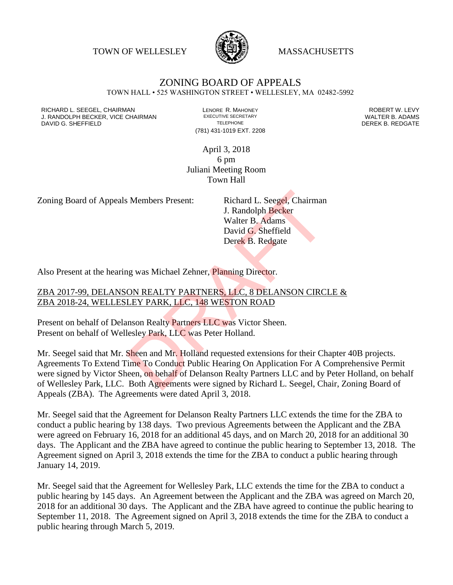TOWN OF WELLESLEY **WASSACHUSETTS** 



## ZONING BOARD OF APPEALS

TOWN HALL • 525 WASHINGTON STREET • WELLESLEY, MA 02482-5992

RICHARD L. SEEGEL, CHAIRMAN LENORE R. MAHONEY ROBERT W. LEVY J. RANDOLPH BECKER, VICE CHAIRMAN EXECUTIVE SECRETARY THE SECRETARY THE SANDOLPH BECKER B. ADAMS<br>DEREK B. REDGATE DAVID G. SHEFFIELD

(781) 431-1019 EXT. 2208

April 3, 2018 6 pm Juliani Meeting Room Town Hall

Zoning Board of Appeals Members Present: Richard L. Seegel, Chairman

J. Randolph Becker Walter B. Adams David G. Sheffield Derek B. Redgate

Also Present at the hearing was Michael Zehner, Planning Director.

## ZBA 2017-99, DELANSON REALTY PARTNERS, LLC, 8 DELANSON CIRCLE & ZBA 2018-24, WELLESLEY PARK, LLC, 148 WESTON ROAD

Present on behalf of Delanson Realty Partners LLC was Victor Sheen. Present on behalf of Wellesley Park, LLC was Peter Holland.

Mr. Seegel said that Mr. Sheen and Mr. Holland requested extensions for their Chapter 40B projects. Agreements To Extend Time To Conduct Public Hearing On Application For A Comprehensive Permit were signed by Victor Sheen, on behalf of Delanson Realty Partners LLC and by Peter Holland, on behalf of Wellesley Park, LLC. Both Agreements were signed by Richard L. Seegel, Chair, Zoning Board of Appeals (ZBA). The Agreements were dated April 3, 2018. S. Members Present:<br>
J. Randolph Becker<br>
Walter B. Adams<br>
David G. Sheffield<br>
Derek B. Redgate<br>
David G. Sheffield<br>
Derek B. Redgate<br>
David G. Sheffield<br>
Derek B. Redgate<br>
Ng was Michael Zehner, Planning Director.<br>
ON REAL

Mr. Seegel said that the Agreement for Delanson Realty Partners LLC extends the time for the ZBA to conduct a public hearing by 138 days. Two previous Agreements between the Applicant and the ZBA were agreed on February 16, 2018 for an additional 45 days, and on March 20, 2018 for an additional 30 days. The Applicant and the ZBA have agreed to continue the public hearing to September 13, 2018. The Agreement signed on April 3, 2018 extends the time for the ZBA to conduct a public hearing through January 14, 2019.

Mr. Seegel said that the Agreement for Wellesley Park, LLC extends the time for the ZBA to conduct a public hearing by 145 days. An Agreement between the Applicant and the ZBA was agreed on March 20, 2018 for an additional 30 days. The Applicant and the ZBA have agreed to continue the public hearing to September 11, 2018. The Agreement signed on April 3, 2018 extends the time for the ZBA to conduct a public hearing through March 5, 2019.